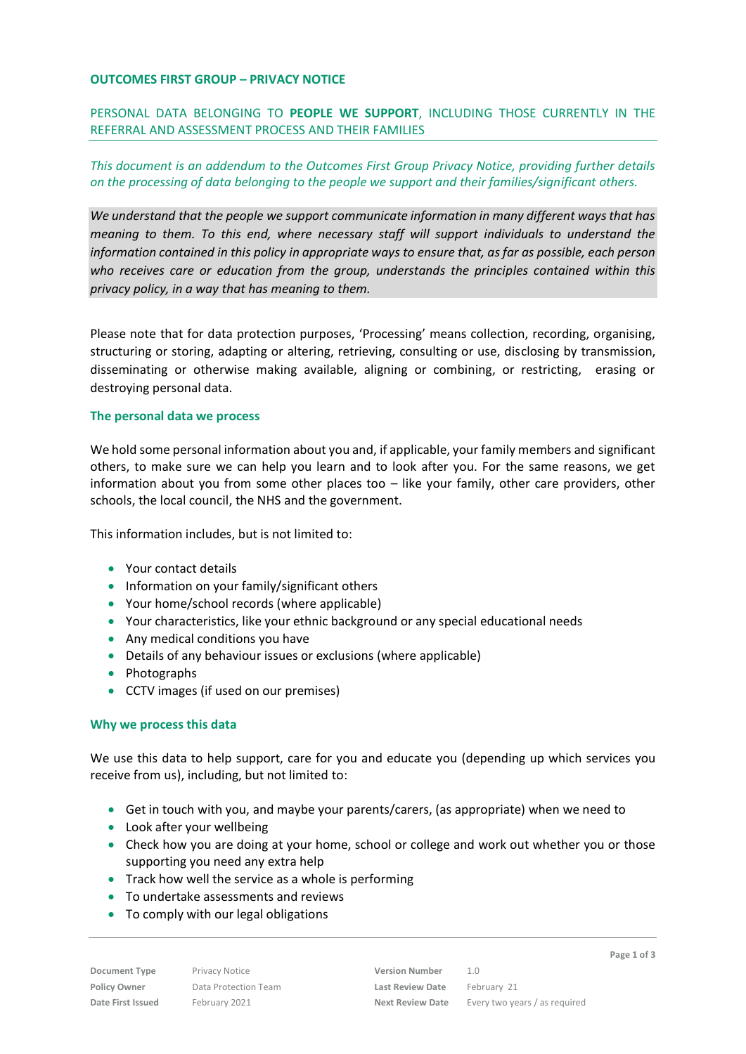### **OUTCOMES FIRST GROUP – PRIVACY NOTICE**

PERSONAL DATA BELONGING TO **PEOPLE WE SUPPORT**, INCLUDING THOSE CURRENTLY IN THE REFERRAL AND ASSESSMENT PROCESS AND THEIR FAMILIES

# *This document is an addendum to the Outcomes First Group Privacy Notice, providing further details on the processing of data belonging to the people we support and their families/significant others.*

*We understand that the people we support communicate information in many different ways that has meaning to them. To this end, where necessary staff will support individuals to understand the information contained in this policy in appropriate ways to ensure that, as far as possible, each person who receives care or education from the group, understands the principles contained within this privacy policy, in a way that has meaning to them.*

Please note that for data protection purposes, 'Processing' means collection, recording, organising, structuring or storing, adapting or altering, retrieving, consulting or use, disclosing by transmission, disseminating or otherwise making available, aligning or combining, or restricting, erasing or destroying personal data.

### **The personal data we process**

We hold some personal information about you and, if applicable, your family members and significant others, to make sure we can help you learn and to look after you. For the same reasons, we get information about you from some other places too – like your family, other care providers, other schools, the local council, the NHS and the government.

This information includes, but is not limited to:

- Your contact details
- Information on your family/significant others
- Your home/school records (where applicable)
- Your characteristics, like your ethnic background or any special educational needs
- Any medical conditions you have
- Details of any behaviour issues or exclusions (where applicable)
- Photographs
- CCTV images (if used on our premises)

### **Why we process this data**

We use this data to help support, care for you and educate you (depending up which services you receive from us), including, but not limited to:

- Get in touch with you, and maybe your parents/carers, (as appropriate) when we need to
- Look after your wellbeing
- Check how you are doing at your home, school or college and work out whether you or those supporting you need any extra help
- Track how well the service as a whole is performing
- To undertake assessments and reviews
- To comply with our legal obligations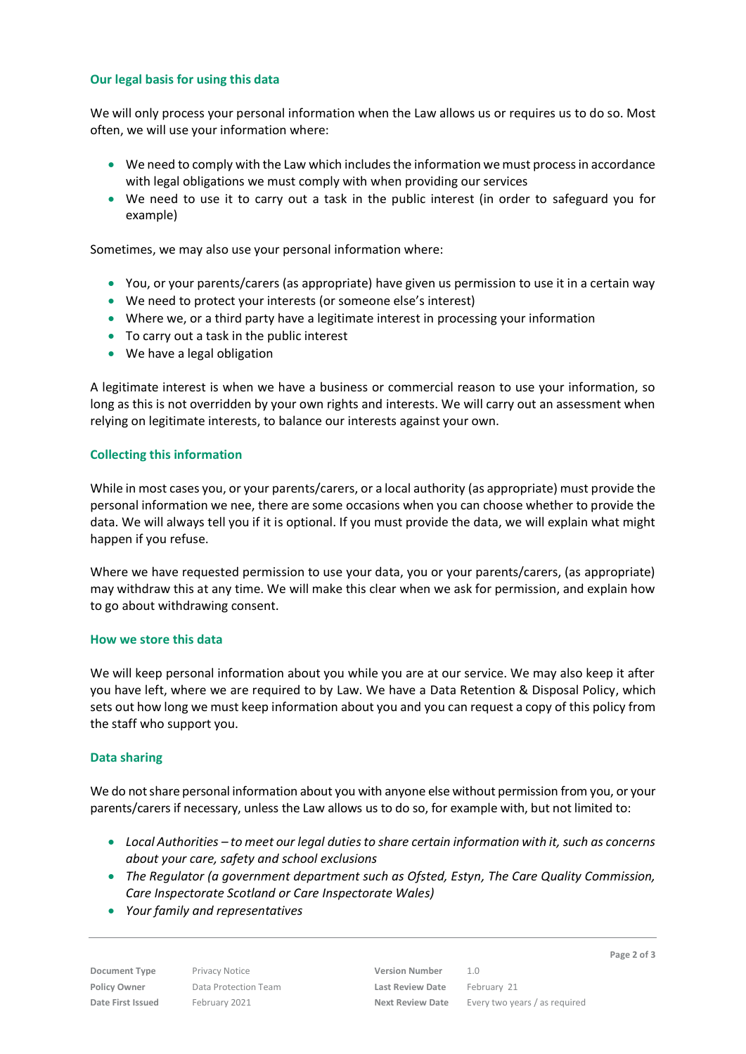## **Our legal basis for using this data**

We will only process your personal information when the Law allows us or requires us to do so. Most often, we will use your information where:

- We need to comply with the Law which includes the information we must process in accordance with legal obligations we must comply with when providing our services
- We need to use it to carry out a task in the public interest (in order to safeguard you for example)

Sometimes, we may also use your personal information where:

- You, or your parents/carers (as appropriate) have given us permission to use it in a certain way
- We need to protect your interests (or someone else's interest)
- Where we, or a third party have a legitimate interest in processing your information
- To carry out a task in the public interest
- We have a legal obligation

A legitimate interest is when we have a business or commercial reason to use your information, so long as this is not overridden by your own rights and interests. We will carry out an assessment when relying on legitimate interests, to balance our interests against your own.

### **Collecting this information**

While in most cases you, or your parents/carers, or a local authority (as appropriate) must provide the personal information we nee, there are some occasions when you can choose whether to provide the data. We will always tell you if it is optional. If you must provide the data, we will explain what might happen if you refuse.

Where we have requested permission to use your data, you or your parents/carers, (as appropriate) may withdraw this at any time. We will make this clear when we ask for permission, and explain how to go about withdrawing consent.

### **How we store this data**

We will keep personal information about you while you are at our service. We may also keep it after you have left, where we are required to by Law. We have a Data Retention & Disposal Policy, which sets out how long we must keep information about you and you can request a copy of this policy from the staff who support you.

### **Data sharing**

We do not share personal information about you with anyone else without permission from you, or your parents/carers if necessary, unless the Law allows us to do so, for example with, but not limited to:

- *Local Authorities – to meet our legal duties to share certain information with it, such as concerns about your care, safety and school exclusions*
- *The Regulator (a government department such as Ofsted, Estyn, The Care Quality Commission, Care Inspectorate Scotland or Care Inspectorate Wales)*
- *Your family and representatives*

**Page 2 of 3**